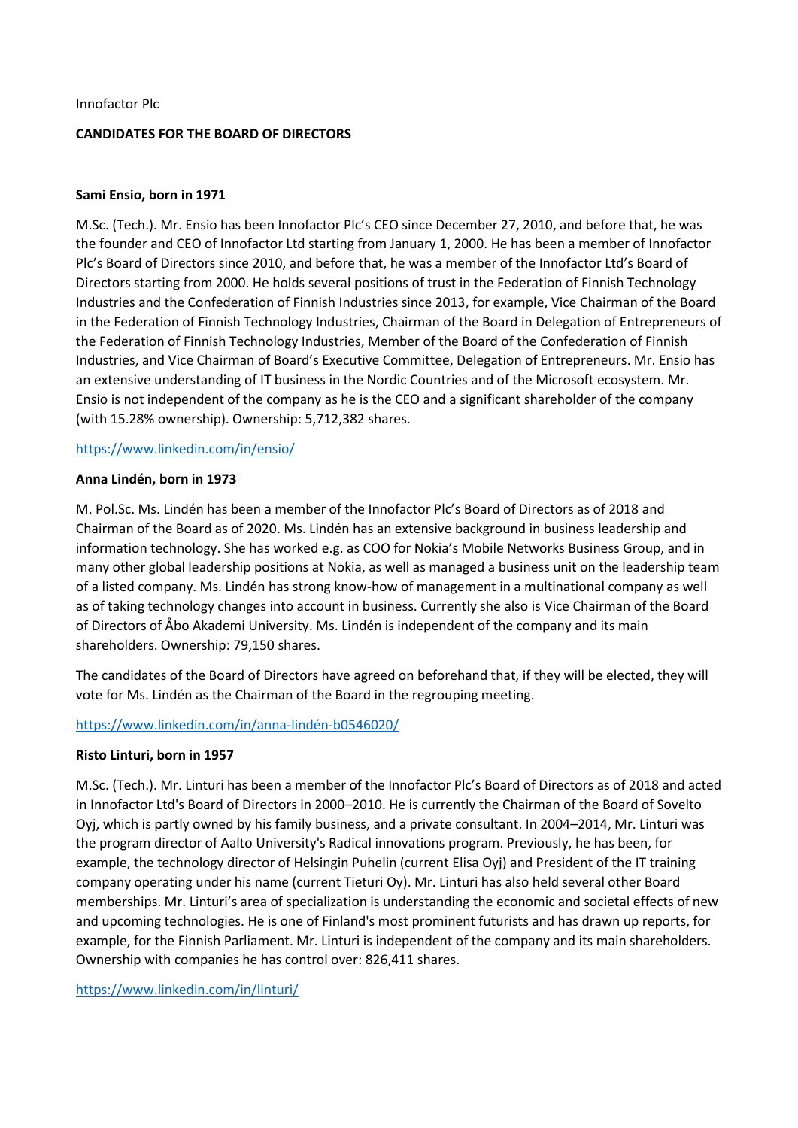### Innofactor Plc

# **CANDIDATES FOR THE BOARD OF DIRECTORS**

### **Sami Ensio, born in 1971**

M.Sc. (Tech.). Mr. Ensio has been Innofactor Plc's CEO since December 27, 2010, and before that, he was the founder and CEO of Innofactor Ltd starting from January 1, 2000. He has been a member of Innofactor Plc's Board of Directors since 2010, and before that, he was a member of the Innofactor Ltd's Board of Directors starting from 2000. He holds several positions of trust in the Federation of Finnish Technology Industries and the Confederation of Finnish Industries since 2013, for example, Vice Chairman of the Board in the Federation of Finnish Technology Industries, Chairman of the Board in Delegation of Entrepreneurs of the Federation of Finnish Technology Industries, Member of the Board of the Confederation of Finnish Industries, and Vice Chairman of Board's Executive Committee, Delegation of Entrepreneurs. Mr. Ensio has an extensive understanding of IT business in the Nordic Countries and of the Microsoft ecosystem. Mr. Ensio is not independent of the company as he is the CEO and a significant shareholder of the company (with 15.28% ownership). Ownership: 5,712,382 shares.

## <https://www.linkedin.com/in/ensio/>

### **Anna Lindén, born in 1973**

M. Pol.Sc. Ms. Lindén has been a member of the Innofactor Plc's Board of Directors as of 2018 and Chairman of the Board as of 2020. Ms. Lindén has an extensive background in business leadership and information technology. She has worked e.g. as COO for Nokia's Mobile Networks Business Group, and in many other global leadership positions at Nokia, as well as managed a business unit on the leadership team of a listed company. Ms. Lindén has strong know-how of management in a multinational company as well as of taking technology changes into account in business. Currently she also is Vice Chairman of the Board of Directors of Åbo Akademi University. Ms. Lindén is independent of the company and its main shareholders. Ownership: 79,150 shares.

The candidates of the Board of Directors have agreed on beforehand that, if they will be elected, they will vote for Ms. Lindén as the Chairman of the Board in the regrouping meeting.

# <https://www.linkedin.com/in/anna-lindén-b0546020/>

### **Risto Linturi, born in 1957**

M.Sc. (Tech.). Mr. Linturi has been a member of the Innofactor Plc's Board of Directors as of 2018 and acted in Innofactor Ltd's Board of Directors in 2000–2010. He is currently the Chairman of the Board of Sovelto Oyj, which is partly owned by his family business, and a private consultant. In 2004–2014, Mr. Linturi was the program director of Aalto University's Radical innovations program. Previously, he has been, for example, the technology director of Helsingin Puhelin (current Elisa Oyj) and President of the IT training company operating under his name (current Tieturi Oy). Mr. Linturi has also held several other Board memberships. Mr. Linturi's area of specialization is understanding the economic and societal effects of new and upcoming technologies. He is one of Finland's most prominent futurists and has drawn up reports, for example, for the Finnish Parliament. Mr. Linturi is independent of the company and its main shareholders. Ownership with companies he has control over: 826,411 shares.

<https://www.linkedin.com/in/linturi/>